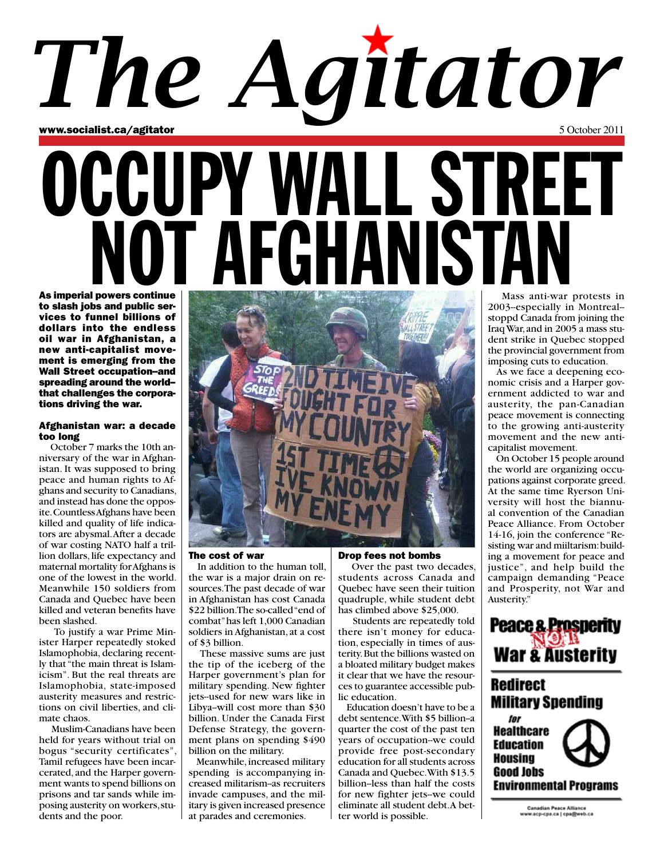## www.socialist.ca/agitator 6 Australian 1 October 2011 OCCUPY WALL STREET *The Agitator*

NOT AFGHANISTA

As imperial powers continue to slash jobs and public services to funnel billions of dollars into the endless oil war in Afghanistan, a new anti-capitalist movement is emerging from the Wall Street occupation--and spreading around the world- that challenges the corporations driving the war.

#### Afghanistan war: a decade too long

 October 7 marks the 10th anniversary of the war in Afghanistan. It was supposed to bring peace and human rights to Afghans and security to Canadians, and instead has done the opposite. Countless Afghans have been killed and quality of life indicators are abysmal. After a decade of war costing NATO half a trillion dollars, life expectancy and maternal mortality for Afghans is one of the lowest in the world. Meanwhile 150 soldiers from Canada and Quebec have been killed and veteran benefits have been slashed.

 To justify a war Prime Minister Harper repeatedly stoked Islamophobia, declaring recently that "the main threat is Islamicism". But the real threats are Islamophobia, state-imposed austerity measures and restrictions on civil liberties, and climate chaos.

 Muslim-Canadians have been held for years without trial on bogus "security certificates", Tamil refugees have been incarcerated, and the Harper government wants to spend billions on prisons and tar sands while imposing austerity on workers, students and the poor.



#### The cost of war

 In addition to the human toll, the war is a major drain on resources. The past decade of war in Afghanistan has cost Canada \$22 billion. The so-called "end of combat" has left 1,000 Canadian soldiers in Afghanistan, at a cost of \$3 billion.

 These massive sums are just the tip of the iceberg of the Harper government's plan for military spending. New fighter jets--used for new wars like in Libya--will cost more than \$30 billion. Under the Canada First Defense Strategy, the government plans on spending \$490 billion on the military.

 Meanwhile, increased military spending is accompanying increased militarism-as recruiters invade campuses, and the military is given increased presence at parades and ceremonies.

#### Drop fees not bombs

 Over the past two decades, students across Canada and Quebec have seen their tuition quadruple, while student debt has climbed above \$25,000.

 Students are repeatedly told there isn't money for education, especially in times of austerity. But the billions wasted on a bloated military budget makes it clear that we have the resources to guarantee accessible public education.

 Education doesn't have to be a debt sentence. With \$5 billion-a quarter the cost of the past ten years of occupation--we could provide free post-secondary education for all students across Canada and Quebec. With \$13.5 billion--less than half the costs for new fighter jets--we could eliminate all student debt. A better world is possible.

 Mass anti-war protests in 2003--especially in Montreal- stoppd Canada from joining the Iraq War, and in 2005 a mass student strike in Quebec stopped the provincial government from imposing cuts to education.

 As we face a deepening economic crisis and a Harper government addicted to war and austerity, the pan-Canadian peace movement is connecting to the growing anti-austerity movement and the new anticapitalist movement.

 On October 15 people around the world are organizing occupations against corporate greed. At the same time Ryerson University will host the biannual convention of the Canadian Peace Alliance. From October 14-16, join the conference "Resisting war and miiltarism: building a movement for peace and justice", and help build the campaign demanding "Peace and Prosperity, not War and Austerity."

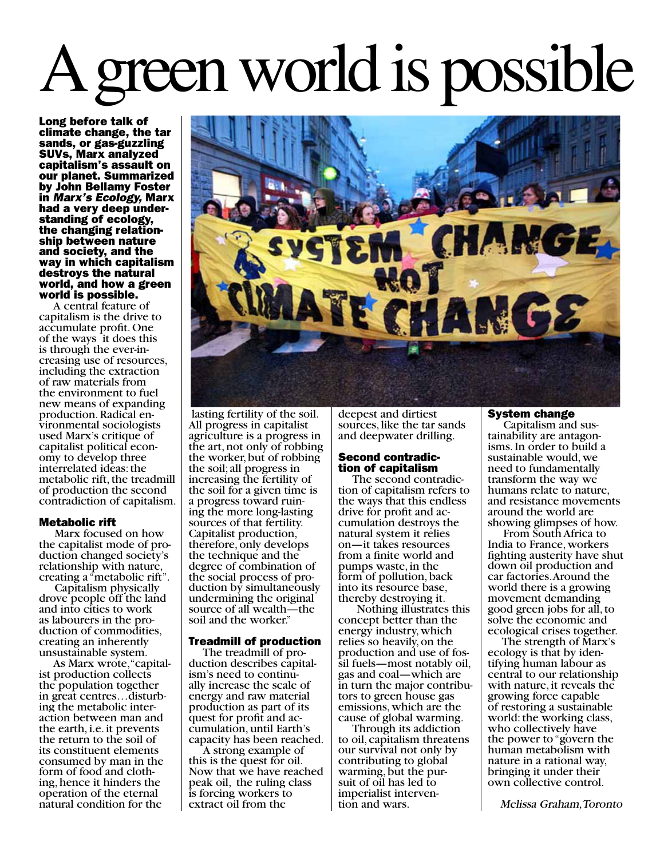# reen world is possible

Long before talk of climate change, the tar sands, or gas-guzzling SUVs, Marx analyzed capitalism's assault on our planet. Summarized by John Bellamy Foster in Marx's Ecology, Marx had a very deep under-<br>standing of ecology, the changing relation- ship between nature and society, and the way in which capitalism destroys the natural world, and how a green world is possible.

 A central feature of capitalism is the drive to accumulate profit. One of the ways it does this is through the ever-in- creasing use of resources, including the extraction of raw materials from the environment to fuel new means of expanding production. Radical en- vironmental sociologists used Marx's critique of capitalist political econ- omy to develop three interrelated ideas: the metabolic rift, the treadmill of production the second contradiction of capitalism.

## Metabolic rift

 Marx focused on how the capitalist mode of pro- duction changed society's relationship with nature, creating a "metabolic rift".

 Capitalism physically drove people off the land and into cities to work as labourers in the pro- duction of commodities, creating an inherently unsustainable system.

 As Marx wrote, "capital- ist production collects the population together in great centres…disturb- ing the metabolic inter- action between man and the earth, i.e. it prevents the return to the soil of its constituent elements consumed by man in the form of food and cloth-<br>ing, hence it hinders the operation of the eternal natural condition for the

 lasting fertility of the soil. All progress in capitalist agriculture is a progress in the art, not only of robbing the worker, but of robbing the soil; all progress in increasing the fertility of the soil for a given time is<br>a progress toward ruining the more long-lasting sources of that fertility. Capitalist production, therefore, only develops the technique and the degree of combination of the social process of pro- duction by simultaneously undermining the original source of all wealth—the soil and the worker."

## Treadmill of production

The treadmill of pro-<br>duction describes capital-<br>ism's need to continu-<br>ally increase the scale of energy and raw material production as part of its quest for profit and ac- cumulation, until Earth's capacity has been reached.

 A strong example of this is the quest for oil. Now that we have reached peak oil, the ruling class is forcing workers to extract oil from the

deepest and dirtiest sources, like the tar sands and deepwater drilling.

## Second contradic-<br>tion of capitalism

 The second contradic- tion of capitalism refers to the ways that this endless<br>drive for profit and accumulation destroys the natural system it relies on—it takes resources from a finite world and pumps waste, in the form of pollution, back into its resource base, thereby destroying it.

 Nothing illustrates this concept better than the energy industry, which relies so heavily, on the production and use of fos- sil fuels—most notably oil, gas and coal—which are in turn the major contribu- tors to green house gas emissions, which are the cause of global warming.

 Through its addiction to oil, capitalism threatens our survival not only by contributing to global warming, but the pur- suit of oil has led to imperialist interven- tion and wars.

## System change

 Capitalism and sus- tainability are antagon- isms. In order to build a sustainable would, we need to fundamentally transform the way we humans relate to nature, and resistance movements around the world are showing glimpses of how.

 From South Africa to India to France, workers fighting austerity have shut down oil production and car factories. Around the world there is a growing movement demanding good green jobs for all, to solve the economic and ecological crises together.

 The strength of Marx's ecology is that by iden- tifying human labour as central to our relationship with nature, it reveals the growing force capable of restoring a sustainable world: the working class, who collectively have the power to "govern the human metabolism with nature in a rational way, bringing it under their own collective control.

Melissa Graham, Toronto

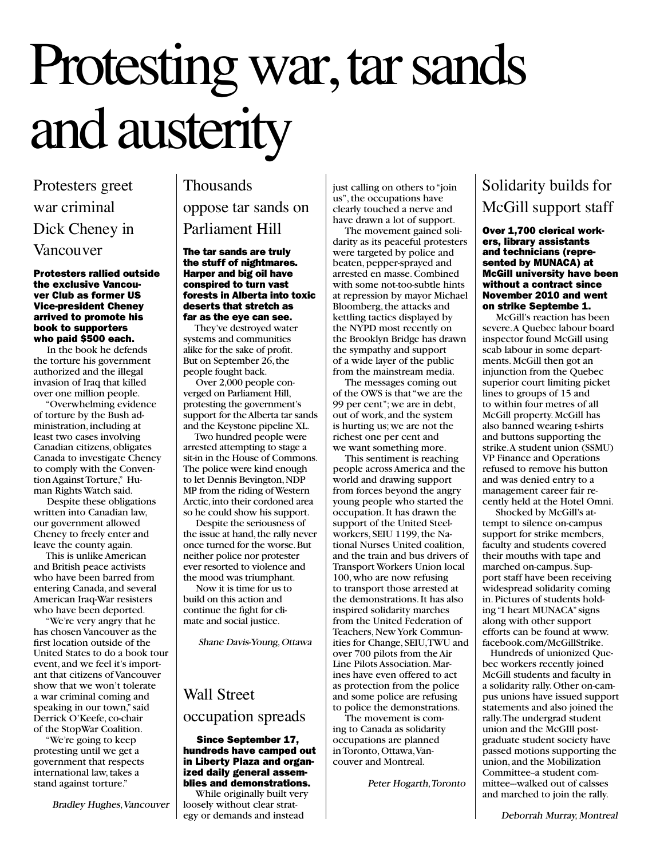## Protesting war, tar sands and austerity

Protesters greet war criminal Dick Cheney in Vancouver

#### Protesters rallied outside the exclusive Vancouver Club as former US Vice-president Cheney arrived to promote his book to supporters who paid \$500 each.

 In the book he defends the torture his government authorized and the illegal invasion of Iraq that killed over one million people.

 "Overwhelming evidence of torture by the Bush administration, including at least two cases involving Canadian citizens, obligates Canada to investigate Cheney to comply with the Convention Against Torture," Human Rights Watch said.

 Despite these obligations written into Canadian law, our government allowed Cheney to freely enter and leave the county again.

 This is unlike American and British peace activists who have been barred from entering Canada, and several American Iraq-War resisters who have been deported.

 "We're very angry that he has chosen Vancouver as the first location outside of the United States to do a book tour event, and we feel it's important that citizens of Vancouver show that we won't tolerate a war criminal coming and speaking in our town," said Derrick O'Keefe, co-chair of the StopWar Coalition.

 "We're going to keep protesting until we get a government that respects international law, takes a stand against torture."

Bradley Hughes, Vancouver

## Thousands oppose tar sands on Parliament Hill

The tar sands are truly the stuff of nightmares. Harper and big oil have conspired to turn vast forests in Alberta into toxic deserts that stretch as far as the eye can see.

 They've destroyed water systems and communities alike for the sake of profit. But on September 26, the people fought back.

 Over 2,000 people converged on Parliament Hill, protesting the government's support for the Alberta tar sands and the Keystone pipeline XL.

 Two hundred people were arrested attempting to stage a sit-in in the House of Commons. The police were kind enough to let Dennis Bevington, NDP MP from the riding of Western Arctic, into their cordoned area so he could show his support.

 Despite the seriousness of the issue at hand, the rally never once turned for the worse. But neither police nor protester ever resorted to violence and the mood was triumphant.

 Now it is time for us to build on this action and continue the fight for climate and social justice.

Shane Davis-Young, Ottawa

## Wall Street occupation spreads

### Since September 17, hundreds have camped out in Liberty Plaza and organized daily general assemblies and demonstrations.

 While originally built very loosely without clear strategy or demands and instead

just calling on others to "join us", the occupations have clearly touched a nerve and have drawn a lot of support.

 The movement gained solidarity as its peaceful protesters were targeted by police and beaten, pepper-sprayed and arrested en masse. Combined with some not-too-subtle hints at repression by mayor Michael Bloomberg, the attacks and kettling tactics displayed by the NYPD most recently on the Brooklyn Bridge has drawn the sympathy and support of a wide layer of the public from the mainstream media.

 The messages coming out of the OWS is that "we are the 99 per cent"; we are in debt, out of work, and the system is hurting us; we are not the richest one per cent and we want something more.

 This sentiment is reaching people across America and the world and drawing support from forces beyond the angry young people who started the occupation. It has drawn the support of the United Steelworkers, SEIU 1199, the National Nurses United coalition, and the train and bus drivers of Transport Workers Union local 100, who are now refusing to transport those arrested at the demonstrations. It has also inspired solidarity marches from the United Federation of Teachers, New York Communities for Change, SEIU, TWU and over 700 pilots from the Air Line Pilots Association. Marines have even offered to act as protection from the police and some police are refusing to police the demonstrations.

 The movement is coming to Canada as solidarity occupations are planned in Toronto, Ottawa, Vancouver and Montreal.

Peter Hogarth, Toronto

## Solidarity builds for McGill support staff

Over 1,700 clerical workers, library assistants and technicians (represented by MUNACA) at McGill university have been without a contract since November 2010 and went on strike Septembe 1.

 McGill's reaction has been severe. A Quebec labour board inspector found McGill using scab labour in some departments. McGill then got an injunction from the Quebec superior court limiting picket lines to groups of 15 and to within four metres of all McGill property. McGill has also banned wearing t-shirts and buttons supporting the strike. A student union (SSMU) VP Finance and Operations refused to remove his button and was denied entry to a management career fair recently held at the Hotel Omni.

 Shocked by McGill's attempt to silence on-campus support for strike members, faculty and students covered their mouths with tape and marched on-campus. Support staff have been receiving widespread solidarity coming in. Pictures of students holding "I heart MUNACA" signs along with other support efforts can be found at www. facebook.com/McGillStrike.

 Hundreds of unionized Quebec workers recently joined McGill students and faculty in a solidarity rally. Other on-campus unions have issued support statements and also joined the rally. The undergrad student union and the McGIll postgraduate student society have passed motions supporting the union, and the Mobilization Committee-a student committee--walked out of calsses and marched to join the rally.